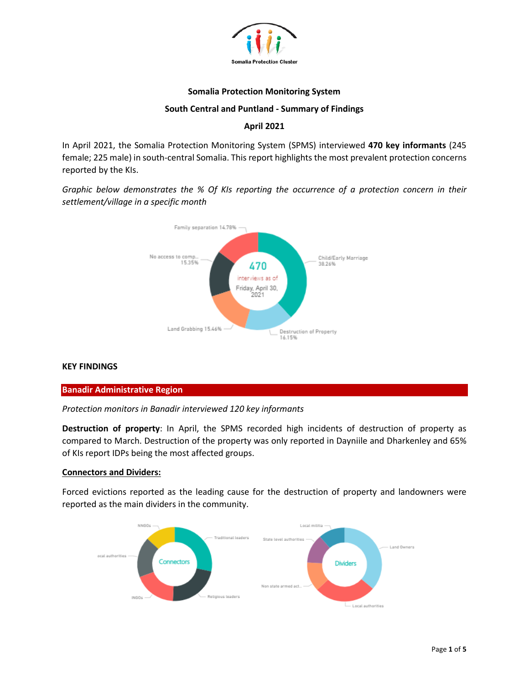

#### **Somalia Protection Monitoring System**

#### **South Central and Puntland - Summary of Findings**

### **April 2021**

In April 2021, the Somalia Protection Monitoring System (SPMS) interviewed **470 key informants** (245 female; 225 male) in south-central Somalia. This report highlights the most prevalent protection concerns reported by the KIs.

*Graphic below demonstrates the % Of KIs reporting the occurrence of a protection concern in their settlement/village in a specific month*



#### **KEY FINDINGS**

#### **Banadir Administrative Region**

*Protection monitors in Banadir interviewed 120 key informants* 

**Destruction of property**: In April, the SPMS recorded high incidents of destruction of property as compared to March. Destruction of the property was only reported in Dayniile and Dharkenley and 65% of KIs report IDPs being the most affected groups.

#### **Connectors and Dividers:**

Forced evictions reported as the leading cause for the destruction of property and landowners were reported as the main dividers in the community.

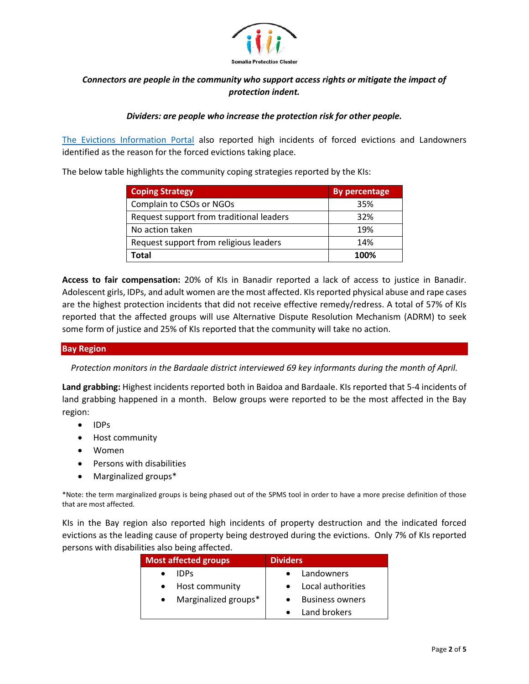

# *Connectors are people in the community who support access rights or mitigate the impact of protection indent.*

### *Dividers: are people who increase the protection risk for other people.*

[The Evictions Information Portal](https://evictions.nrcsystems.net/downloads.php) also reported high incidents of forced evictions and Landowners identified as the reason for the forced evictions taking place.

The below table highlights the community coping strategies reported by the KIs:

| <b>Coping Strategy</b>                   | <b>By percentage</b> |
|------------------------------------------|----------------------|
| Complain to CSOs or NGOs                 | 35%                  |
| Request support from traditional leaders | 32%                  |
| No action taken                          | 19%                  |
| Request support from religious leaders   | 14%                  |
| Total                                    | 100%                 |

**Access to fair compensation:** 20% of KIs in Banadir reported a lack of access to justice in Banadir. Adolescent girls, IDPs, and adult women are the most affected. KIs reported physical abuse and rape cases are the highest protection incidents that did not receive effective remedy/redress. A total of 57% of KIs reported that the affected groups will use Alternative Dispute Resolution Mechanism (ADRM) to seek some form of justice and 25% of KIs reported that the community will take no action.

### **Bay Region**

*Protection monitors in the Bardaale district interviewed 69 key informants during the month of April.*

**Land grabbing:** Highest incidents reported both in Baidoa and Bardaale. KIs reported that 5-4 incidents of land grabbing happened in a month. Below groups were reported to be the most affected in the Bay region:

- IDPs
- Host community
- Women
- Persons with disabilities
- Marginalized groups\*

\*Note: the term marginalized groups is being phased out of the SPMS tool in order to have a more precise definition of those that are most affected.

KIs in the Bay region also reported high incidents of property destruction and the indicated forced evictions as the leading cause of property being destroyed during the evictions. Only 7% of KIs reported persons with disabilities also being affected.

| <b>Most affected groups</b> | <b>Dividers</b> |                        |
|-----------------------------|-----------------|------------------------|
| <b>IDPs</b>                 |                 | Landowners             |
| • Host community            |                 | Local authorities      |
| • Marginalized groups*      |                 | <b>Business owners</b> |
|                             |                 | Land brokers           |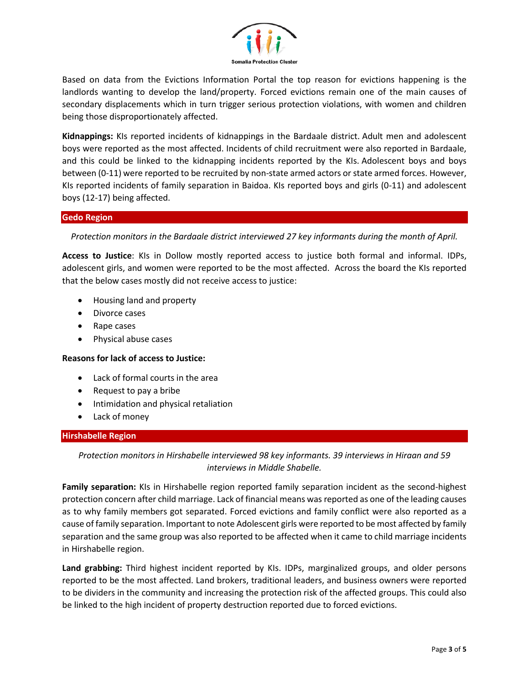

Based on data from the Evictions Information Portal the top reason for evictions happening is the landlords wanting to develop the land/property. Forced evictions remain one of the main causes of secondary displacements which in turn trigger serious protection violations, with women and children being those disproportionately affected.

**Kidnappings:** KIs reported incidents of kidnappings in the Bardaale district. Adult men and adolescent boys were reported as the most affected. Incidents of child recruitment were also reported in Bardaale, and this could be linked to the kidnapping incidents reported by the KIs. Adolescent boys and boys between (0-11) were reported to be recruited by non-state armed actors or state armed forces. However, KIs reported incidents of family separation in Baidoa. KIs reported boys and girls (0-11) and adolescent boys (12-17) being affected.

#### **Gedo Region**

*Protection monitors in the Bardaale district interviewed 27 key informants during the month of April.*

**Access to Justice**: KIs in Dollow mostly reported access to justice both formal and informal. IDPs, adolescent girls, and women were reported to be the most affected. Across the board the KIs reported that the below cases mostly did not receive access to justice:

- Housing land and property
- Divorce cases
- Rape cases
- Physical abuse cases

### **Reasons for lack of access to Justice:**

- Lack of formal courts in the area
- Request to pay a bribe
- Intimidation and physical retaliation
- Lack of money

### **Hirshabelle Region**

*Protection monitors in Hirshabelle interviewed 98 key informants. 39 interviews in Hiraan and 59 interviews in Middle Shabelle.*

**Family separation:** KIs in Hirshabelle region reported family separation incident as the second-highest protection concern after child marriage. Lack of financial means was reported as one of the leading causes as to why family members got separated. Forced evictions and family conflict were also reported as a cause of family separation. Important to note Adolescent girls were reported to be most affected by family separation and the same group was also reported to be affected when it came to child marriage incidents in Hirshabelle region.

**Land grabbing:** Third highest incident reported by KIs. IDPs, marginalized groups, and older persons reported to be the most affected. Land brokers, traditional leaders, and business owners were reported to be dividers in the community and increasing the protection risk of the affected groups. This could also be linked to the high incident of property destruction reported due to forced evictions.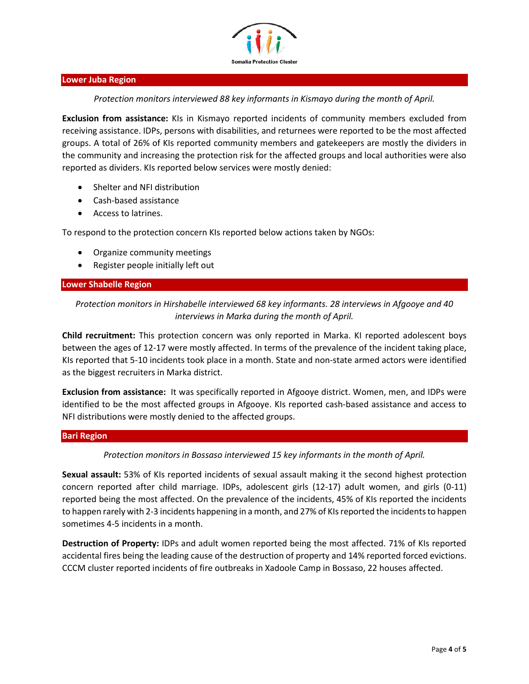

#### **Lower Juba Region**

*Protection monitors interviewed 88 key informants in Kismayo during the month of April.*

**Exclusion from assistance:** KIs in Kismayo reported incidents of community members excluded from receiving assistance. IDPs, persons with disabilities, and returnees were reported to be the most affected groups. A total of 26% of KIs reported community members and gatekeepers are mostly the dividers in the community and increasing the protection risk for the affected groups and local authorities were also reported as dividers. KIs reported below services were mostly denied:

- Shelter and NFI distribution
- Cash-based assistance
- Access to latrines.

To respond to the protection concern KIs reported below actions taken by NGOs:

- Organize community meetings
- Register people initially left out

#### **Lower Shabelle Region**

## *Protection monitors in Hirshabelle interviewed 68 key informants. 28 interviews in Afgooye and 40 interviews in Marka during the month of April.*

**Child recruitment:** This protection concern was only reported in Marka. KI reported adolescent boys between the ages of 12-17 were mostly affected. In terms of the prevalence of the incident taking place, KIs reported that 5-10 incidents took place in a month. State and non-state armed actors were identified as the biggest recruiters in Marka district.

**Exclusion from assistance:** It was specifically reported in Afgooye district. Women, men, and IDPs were identified to be the most affected groups in Afgooye. KIs reported cash-based assistance and access to NFI distributions were mostly denied to the affected groups.

#### **Bari Region**

### *Protection monitors in Bossaso interviewed 15 key informants in the month of April.*

**Sexual assault:** 53% of KIs reported incidents of sexual assault making it the second highest protection concern reported after child marriage. IDPs, adolescent girls (12-17) adult women, and girls (0-11) reported being the most affected. On the prevalence of the incidents, 45% of KIs reported the incidents to happen rarely with 2-3 incidents happening in a month, and 27% of KIs reported the incidents to happen sometimes 4-5 incidents in a month.

**Destruction of Property:** IDPs and adult women reported being the most affected. 71% of KIs reported accidental fires being the leading cause of the destruction of property and 14% reported forced evictions. CCCM cluster reported incidents of fire outbreaks in Xadoole Camp in Bossaso, 22 houses affected.